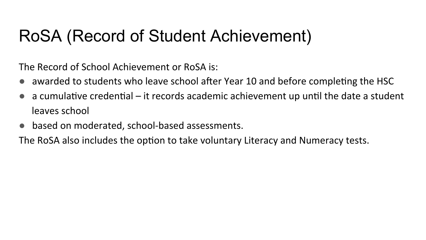## RoSA (Record of Student Achievement)

The Record of School Achievement or RoSA is:

- awarded to students who leave school after Year 10 and before completing the HSC
- a cumulative credential  $-$  it records academic achievement up until the date a student leaves school
- based on moderated, school-based assessments.

The RoSA also includes the option to take voluntary Literacy and Numeracy tests.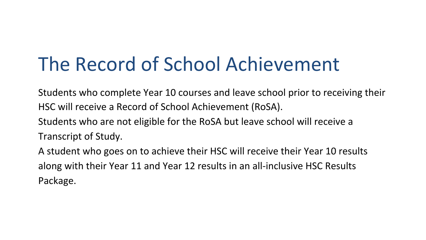# The Record of School Achievement

Students who complete Year 10 courses and leave school prior to receiving their HSC will receive a Record of School Achievement (RoSA).

Students who are not eligible for the RoSA but leave school will receive a

Transcript of Study.

A student who goes on to achieve their HSC will receive their Year 10 results along with their Year 11 and Year 12 results in an all-inclusive HSC Results Package.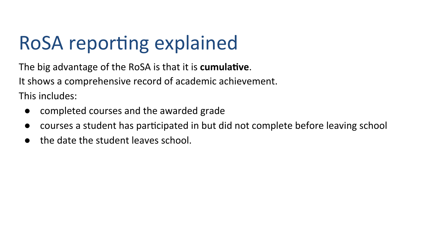# RoSA reporting explained

The big advantage of the RoSA is that it is **cumulative**. It shows a comprehensive record of academic achievement. This includes:

- completed courses and the awarded grade
- courses a student has participated in but did not complete before leaving school
- the date the student leaves school.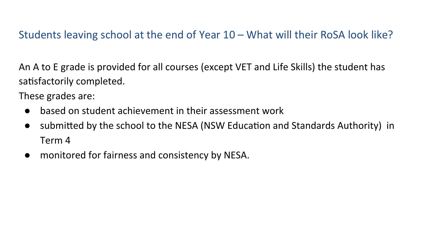### Students leaving school at the end of Year  $10 -$  What will their RoSA look like?

An A to E grade is provided for all courses (except VET and Life Skills) the student has satisfactorily completed.

These grades are:

- $\bullet$  based on student achievement in their assessment work
- submitted by the school to the NESA (NSW Education and Standards Authority) in Term 4
- monitored for fairness and consistency by NESA.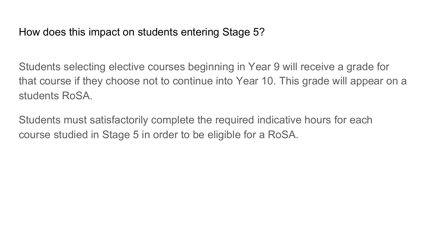How does this impact on students entering Stage 5?

Students selecting elective courses beginning in Year 9 will receive a grade for that course if they choose not to continue into Year 10. This grade will appear on a students RoSA.

Students must satisfactorily complete the required indicative hours for each course studied in Stage 5 in order to be eligible for a RoSA.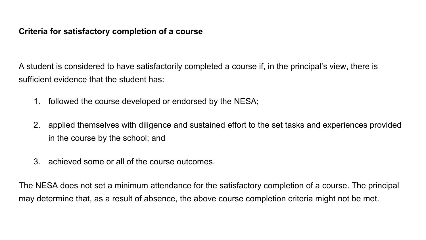#### **Criteria for satisfactory completion of a course**

A student is considered to have satisfactorily completed a course if, in the principal's view, there is sufficient evidence that the student has:

- 1. followed the course developed or endorsed by the NESA;
- 2. applied themselves with diligence and sustained effort to the set tasks and experiences provided in the course by the school; and
- 3. achieved some or all of the course outcomes.

The NESA does not set a minimum attendance for the satisfactory completion of a course. The principal may determine that, as a result of absence, the above course completion criteria might not be met.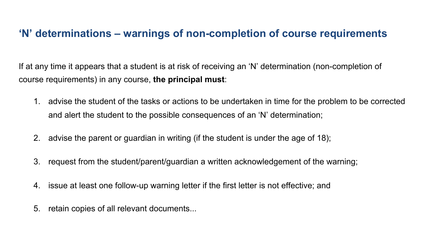### **'N' determinations – warnings of non-completion of course requirements**

If at any time it appears that a student is at risk of receiving an 'N' determination (non-completion of course requirements) in any course, **the principal must**:

- 1. advise the student of the tasks or actions to be undertaken in time for the problem to be corrected and alert the student to the possible consequences of an 'N' determination;
- 2. advise the parent or guardian in writing (if the student is under the age of 18);
- 3. request from the student/parent/guardian a written acknowledgement of the warning;
- 4. issue at least one follow-up warning letter if the first letter is not effective; and
- 5. retain copies of all relevant documents...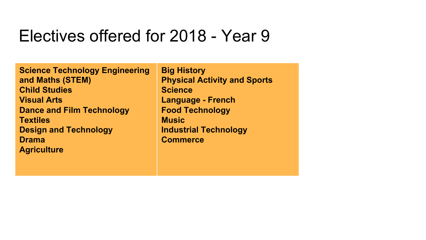### Electives offered for 2018 - Year 9

Note: Not all courses may be offered in the final lines. number of students. **Agriculture Science Technology Engineering and Maths (STEM) Child Studies Visual Arts Dance and Film Technology Textiles Design and Technology Drama** 

**Big History Physical Activity and Sports Science Language - French Food Technology Music Industrial Technology Commerce**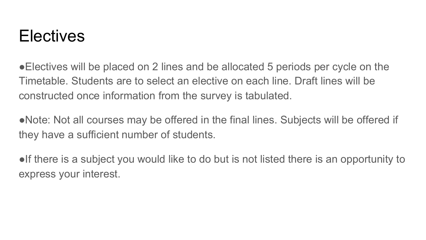## **Electives**

●Electives will be placed on 2 lines and be allocated 5 periods per cycle on the Timetable. Students are to select an elective on each line. Draft lines will be constructed once information from the survey is tabulated.

• Note: Not all courses may be offered in the final lines. Subjects will be offered if they have a sufficient number of students.

●If there is a subject you would like to do but is not listed there is an opportunity to express your interest.